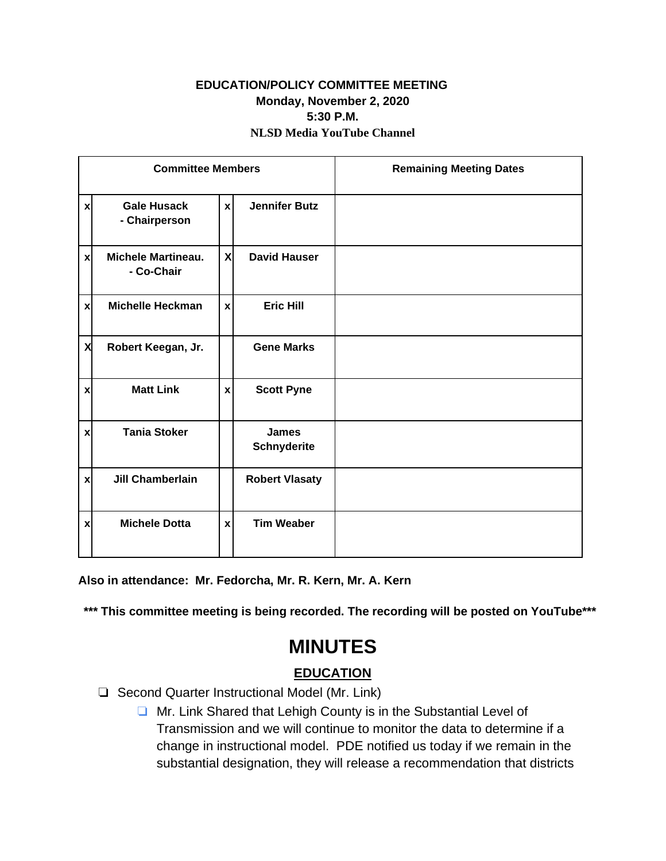### **EDUCATION/POLICY COMMITTEE MEETING Monday, November 2, 2020 5:30 P.M. NLSD Media YouTube Channel**

| <b>Committee Members</b> |                                         |                           |                                    | <b>Remaining Meeting Dates</b> |
|--------------------------|-----------------------------------------|---------------------------|------------------------------------|--------------------------------|
| $\boldsymbol{x}$         | <b>Gale Husack</b><br>- Chairperson     | $\mathbf{x}$              | <b>Jennifer Butz</b>               |                                |
| $\boldsymbol{x}$         | <b>Michele Martineau.</b><br>- Co-Chair | X                         | <b>David Hauser</b>                |                                |
| $\boldsymbol{x}$         | <b>Michelle Heckman</b>                 | $\boldsymbol{\mathsf{x}}$ | <b>Eric Hill</b>                   |                                |
| X                        | Robert Keegan, Jr.                      |                           | <b>Gene Marks</b>                  |                                |
| $\mathbf{x}$             | <b>Matt Link</b>                        | $\boldsymbol{x}$          | <b>Scott Pyne</b>                  |                                |
| $\mathbf{x}$             | <b>Tania Stoker</b>                     |                           | <b>James</b><br><b>Schnyderite</b> |                                |
| $\boldsymbol{x}$         | <b>Jill Chamberlain</b>                 |                           | <b>Robert Vlasaty</b>              |                                |
| $\mathbf{x}$             | <b>Michele Dotta</b>                    | $\mathbf{x}$              | <b>Tim Weaber</b>                  |                                |

**Also in attendance: Mr. Fedorcha, Mr. R. Kern, Mr. A. Kern** 

**\*\*\* This committee meeting is being recorded. The recording will be posted on YouTube\*\*\***

# **MINUTES**

## **EDUCATION**

- ❏ Second Quarter Instructional Model (Mr. Link)
	- ❏ Mr. Link Shared that Lehigh County is in the Substantial Level of Transmission and we will continue to monitor the data to determine if a change in instructional model. PDE notified us today if we remain in the substantial designation, they will release a recommendation that districts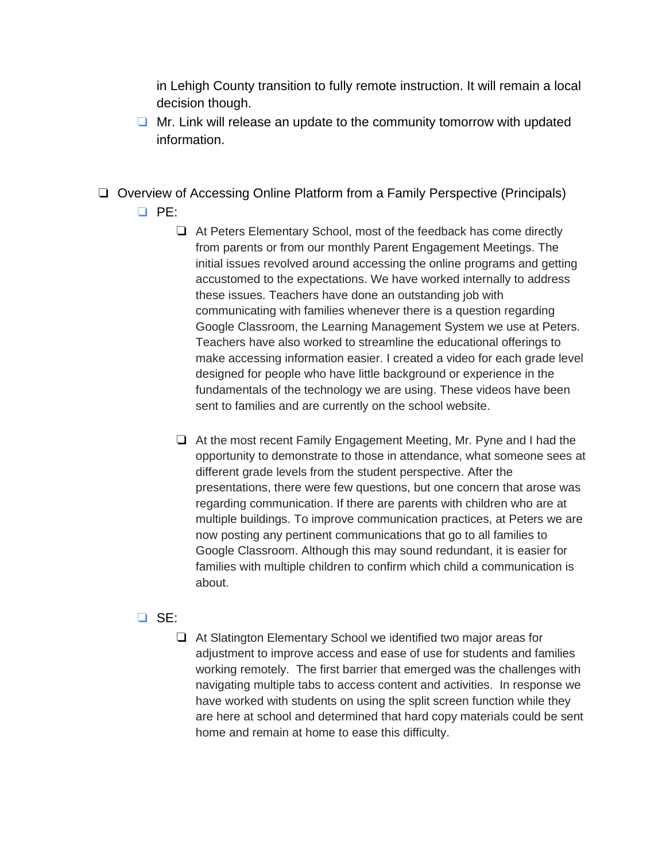in Lehigh County transition to fully remote instruction. It will remain a local decision though.

- ❏ Mr. Link will release an update to the community tomorrow with updated information.
- ❏ Overview of Accessing Online Platform from a Family Perspective (Principals) ❏ PE:
	- ❏ At Peters Elementary School, most of the feedback has come directly from parents or from our monthly Parent Engagement Meetings. The initial issues revolved around accessing the online programs and getting accustomed to the expectations. We have worked internally to address these issues. Teachers have done an outstanding job with communicating with families whenever there is a question regarding Google Classroom, the Learning Management System we use at Peters. Teachers have also worked to streamline the educational offerings to make accessing information easier. I created a video for each grade level designed for people who have little background or experience in the fundamentals of the technology we are using. These videos have been sent to families and are currently on the school website.
	- ❏ At the most recent Family Engagement Meeting, Mr. Pyne and I had the opportunity to demonstrate to those in attendance, what someone sees at different grade levels from the student perspective. After the presentations, there were few questions, but one concern that arose was regarding communication. If there are parents with children who are at multiple buildings. To improve communication practices, at Peters we are now posting any pertinent communications that go to all families to Google Classroom. Although this may sound redundant, it is easier for families with multiple children to confirm which child a communication is about.

#### ❏ SE:

❏ At Slatington Elementary School we identified two major areas for adjustment to improve access and ease of use for students and families working remotely. The first barrier that emerged was the challenges with navigating multiple tabs to access content and activities. In response we have worked with students on using the split screen function while they are here at school and determined that hard copy materials could be sent home and remain at home to ease this difficulty.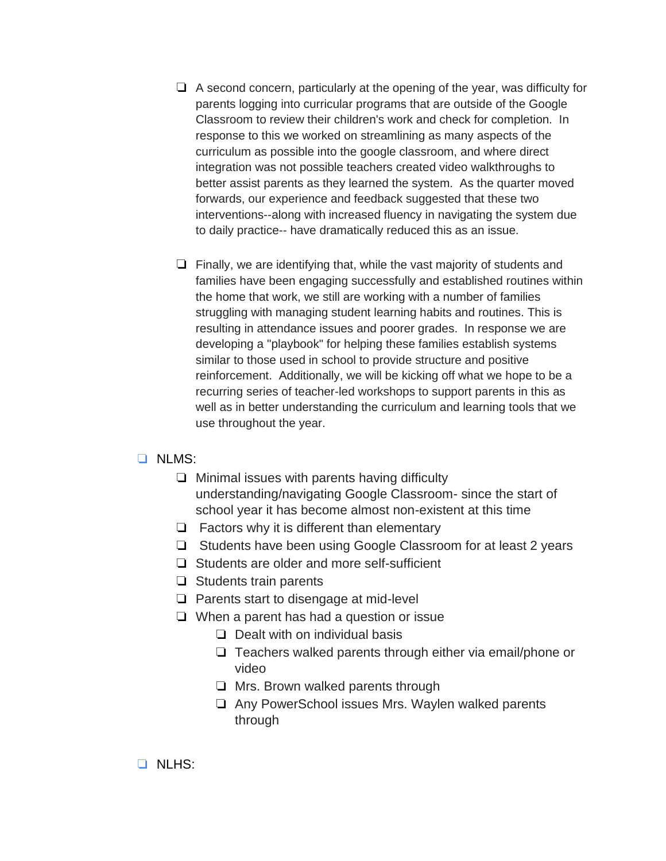- ❏ A second concern, particularly at the opening of the year, was difficulty for parents logging into curricular programs that are outside of the Google Classroom to review their children's work and check for completion. In response to this we worked on streamlining as many aspects of the curriculum as possible into the google classroom, and where direct integration was not possible teachers created video walkthroughs to better assist parents as they learned the system. As the quarter moved forwards, our experience and feedback suggested that these two interventions--along with increased fluency in navigating the system due to daily practice-- have dramatically reduced this as an issue.
- ❏ Finally, we are identifying that, while the vast majority of students and families have been engaging successfully and established routines within the home that work, we still are working with a number of families struggling with managing student learning habits and routines. This is resulting in attendance issues and poorer grades. In response we are developing a "playbook" for helping these families establish systems similar to those used in school to provide structure and positive reinforcement. Additionally, we will be kicking off what we hope to be a recurring series of teacher-led workshops to support parents in this as well as in better understanding the curriculum and learning tools that we use throughout the year.

#### ❏ NLMS:

- ❏ Minimal issues with parents having difficulty understanding/navigating Google Classroom- since the start of school year it has become almost non-existent at this time
- ❏ Factors why it is different than elementary
- ❏ Students have been using Google Classroom for at least 2 years
- ❏ Students are older and more self-sufficient
- ❏ Students train parents
- ❏ Parents start to disengage at mid-level
- ❏ When a parent has had a question or issue
	- ❏ Dealt with on individual basis
	- ❏ Teachers walked parents through either via email/phone or video
	- ❏ Mrs. Brown walked parents through
	- ❏ Any PowerSchool issues Mrs. Waylen walked parents through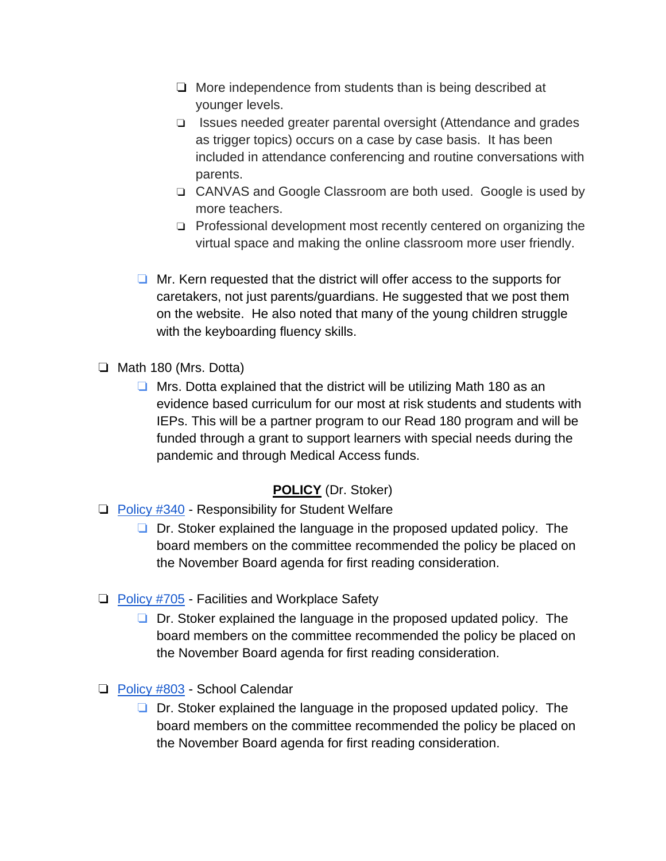- ❏ More independence from students than is being described at younger levels.
- ❏ Issues needed greater parental oversight (Attendance and grades as trigger topics) occurs on a case by case basis. It has been included in attendance conferencing and routine conversations with parents.
- ❏ CANVAS and Google Classroom are both used. Google is used by more teachers.
- ❏ Professional development most recently centered on organizing the virtual space and making the online classroom more user friendly.
- ❏ Mr. Kern requested that the district will offer access to the supports for caretakers, not just parents/guardians. He suggested that we post them on the website. He also noted that many of the young children struggle with the keyboarding fluency skills.
- ❏ Math 180 (Mrs. Dotta)
	- ❏ Mrs. Dotta explained that the district will be utilizing Math 180 as an evidence based curriculum for our most at risk students and students with IEPs. This will be a partner program to our Read 180 program and will be funded through a grant to support learners with special needs during the pandemic and through Medical Access funds.

## **POLICY** (Dr. Stoker)

- ❏ [Policy #340](https://drive.google.com/file/d/1Zt9tSVOBjBDCWAQpHCDpFXfXpZRSTTJa/view?usp=sharing) Responsibility for Student Welfare
	- ❏ Dr. Stoker explained the language in the proposed updated policy. The board members on the committee recommended the policy be placed on the November Board agenda for first reading consideration.
- ❏ [Policy #705](https://drive.google.com/file/d/1bahEk-Y1zCmC1S6gIALhdjLAXCyEuqOB/view?usp=sharing) Facilities and Workplace Safety
	- ❏ Dr. Stoker explained the language in the proposed updated policy. The board members on the committee recommended the policy be placed on the November Board agenda for first reading consideration.
- ❏ [Policy #803](https://drive.google.com/file/d/1icDTEfMKDEdhiBAXvo_5-OZX72LknTqV/view?usp=sharing) School Calendar
	- ❏ Dr. Stoker explained the language in the proposed updated policy. The board members on the committee recommended the policy be placed on the November Board agenda for first reading consideration.